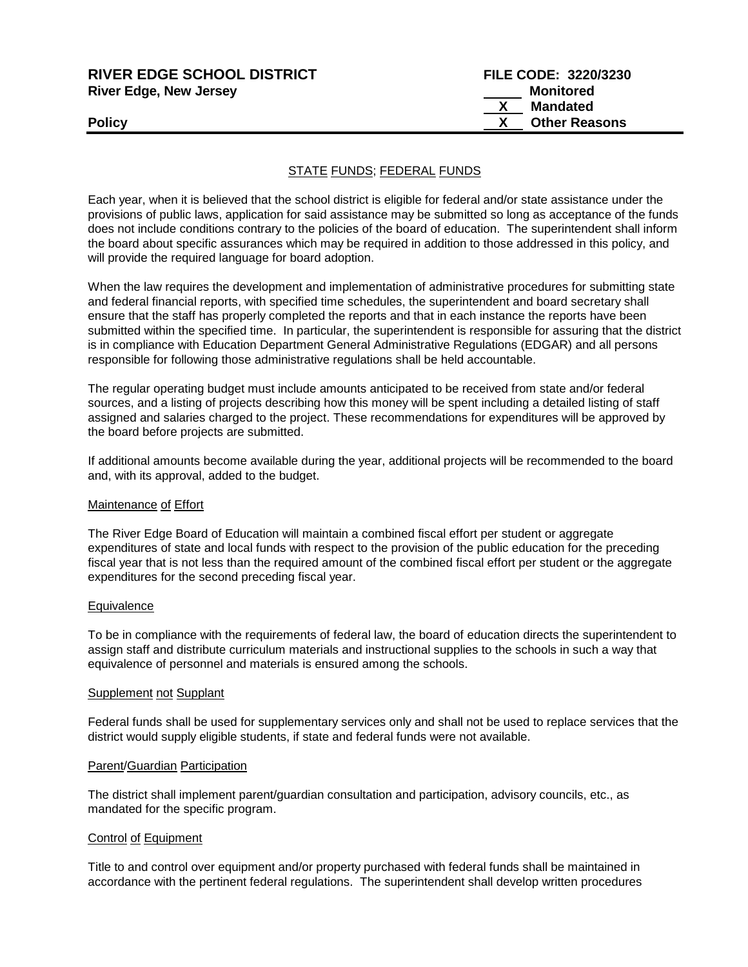| <b>RIVER EDGE SCHOOL DISTRICT</b> | FILE CODE: 3220/3230 |
|-----------------------------------|----------------------|
| <b>River Edge, New Jersey</b>     | Monitored            |
|                                   | Mandated             |
| <b>Policy</b>                     | <b>Other Reasons</b> |
|                                   |                      |

## STATE FUNDS; FEDERAL FUNDS

Each year, when it is believed that the school district is eligible for federal and/or state assistance under the provisions of public laws, application for said assistance may be submitted so long as acceptance of the funds does not include conditions contrary to the policies of the board of education. The superintendent shall inform the board about specific assurances which may be required in addition to those addressed in this policy, and will provide the required language for board adoption.

When the law requires the development and implementation of administrative procedures for submitting state and federal financial reports, with specified time schedules, the superintendent and board secretary shall ensure that the staff has properly completed the reports and that in each instance the reports have been submitted within the specified time. In particular, the superintendent is responsible for assuring that the district is in compliance with Education Department General Administrative Regulations (EDGAR) and all persons responsible for following those administrative regulations shall be held accountable.

The regular operating budget must include amounts anticipated to be received from state and/or federal sources, and a listing of projects describing how this money will be spent including a detailed listing of staff assigned and salaries charged to the project. These recommendations for expenditures will be approved by the board before projects are submitted.

If additional amounts become available during the year, additional projects will be recommended to the board and, with its approval, added to the budget.

### Maintenance of Effort

The River Edge Board of Education will maintain a combined fiscal effort per student or aggregate expenditures of state and local funds with respect to the provision of the public education for the preceding fiscal year that is not less than the required amount of the combined fiscal effort per student or the aggregate expenditures for the second preceding fiscal year.

#### **Equivalence**

To be in compliance with the requirements of federal law, the board of education directs the superintendent to assign staff and distribute curriculum materials and instructional supplies to the schools in such a way that equivalence of personnel and materials is ensured among the schools.

#### Supplement not Supplant

Federal funds shall be used for supplementary services only and shall not be used to replace services that the district would supply eligible students, if state and federal funds were not available.

#### Parent/Guardian Participation

The district shall implement parent/guardian consultation and participation, advisory councils, etc., as mandated for the specific program.

### Control of Equipment

Title to and control over equipment and/or property purchased with federal funds shall be maintained in accordance with the pertinent federal regulations. The superintendent shall develop written procedures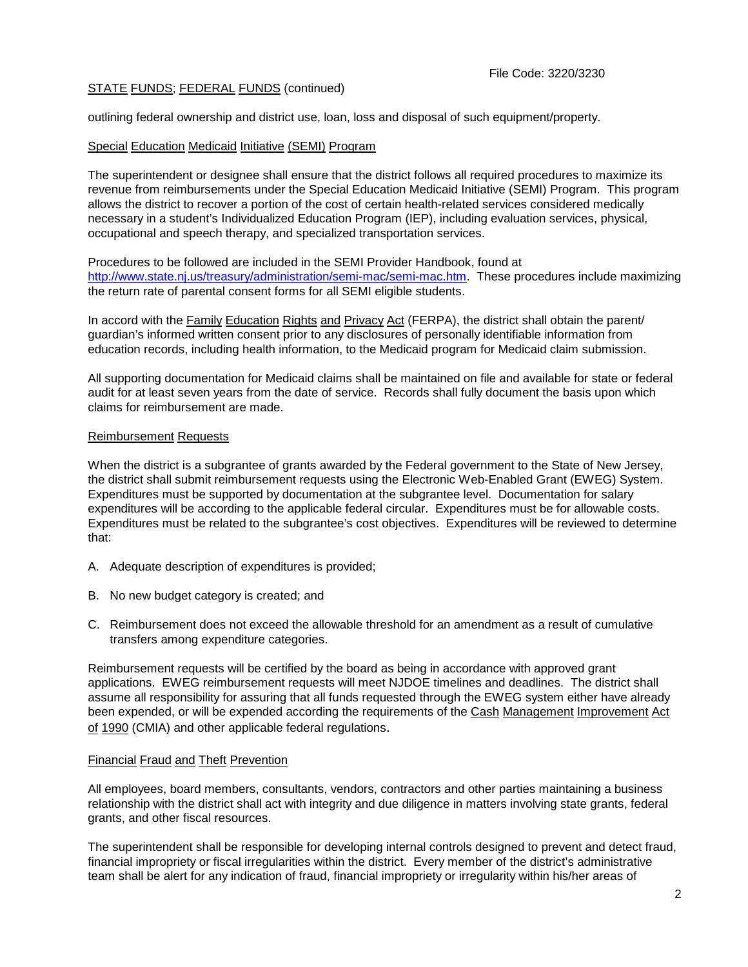## STATE FUNDS; FEDERAL FUNDS (continued)

outlining federal ownership and district use, loan, loss and disposal of such equipment/property.

### Special Education Medicaid Initiative (SEMI) Program

The superintendent or designee shall ensure that the district follows all required procedures to maximize its revenue from reimbursements under the Special Education Medicaid Initiative (SEMI) Program. This program allows the district to recover a portion of the cost of certain health-related services considered medically necessary in a student's Individualized Education Program (IEP), including evaluation services, physical, occupational and speech therapy, and specialized transportation services.

Procedures to be followed are included in the SEMI Provider Handbook, found at [http://www.state.nj.us/treasury/administration/semi-mac/semi-mac.htm.](http://www.state.nj.us/treasury/administration/semi-mac/semi-mac.htm) These procedures include maximizing the return rate of parental consent forms for all SEMI eligible students.

In accord with the Family Education Rights and Privacy Act (FERPA), the district shall obtain the parent/ guardian's informed written consent prior to any disclosures of personally identifiable information from education records, including health information, to the Medicaid program for Medicaid claim submission.

All supporting documentation for Medicaid claims shall be maintained on file and available for state or federal audit for at least seven years from the date of service. Records shall fully document the basis upon which claims for reimbursement are made.

## Reimbursement Requests

When the district is a subgrantee of grants awarded by the Federal government to the State of New Jersey, the district shall submit reimbursement requests using the Electronic Web-Enabled Grant (EWEG) System. Expenditures must be supported by documentation at the subgrantee level. Documentation for salary expenditures will be according to the applicable federal circular. Expenditures must be for allowable costs. Expenditures must be related to the subgrantee's cost objectives. Expenditures will be reviewed to determine that:

- A. Adequate description of expenditures is provided;
- B. No new budget category is created; and
- C. Reimbursement does not exceed the allowable threshold for an amendment as a result of cumulative transfers among expenditure categories.

Reimbursement requests will be certified by the board as being in accordance with approved grant applications. EWEG reimbursement requests will meet NJDOE timelines and deadlines. The district shall assume all responsibility for assuring that all funds requested through the EWEG system either have already been expended, or will be expended according the requirements of the Cash Management Improvement Act of 1990 (CMIA) and other applicable federal regulations.

### Financial Fraud and Theft Prevention

All employees, board members, consultants, vendors, contractors and other parties maintaining a business relationship with the district shall act with integrity and due diligence in matters involving state grants, federal grants, and other fiscal resources.

The superintendent shall be responsible for developing internal controls designed to prevent and detect fraud, financial impropriety or fiscal irregularities within the district. Every member of the district's administrative team shall be alert for any indication of fraud, financial impropriety or irregularity within his/her areas of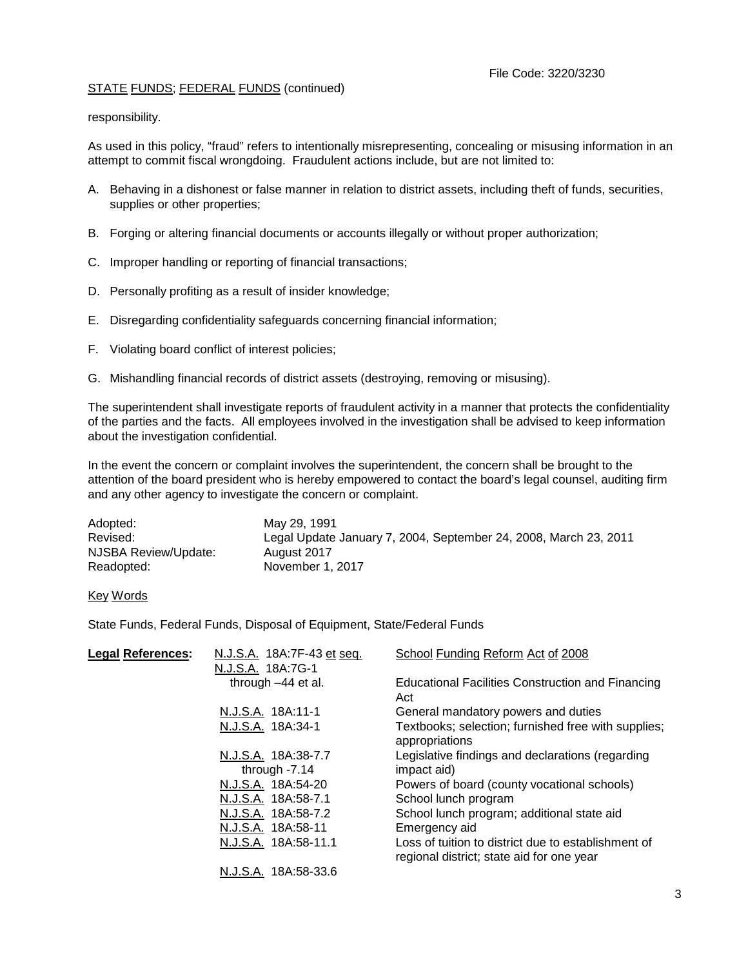# STATE FUNDS; FEDERAL FUNDS (continued)

responsibility.

As used in this policy, "fraud" refers to intentionally misrepresenting, concealing or misusing information in an attempt to commit fiscal wrongdoing. Fraudulent actions include, but are not limited to:

- A. Behaving in a dishonest or false manner in relation to district assets, including theft of funds, securities, supplies or other properties;
- B. Forging or altering financial documents or accounts illegally or without proper authorization;
- C. Improper handling or reporting of financial transactions;
- D. Personally profiting as a result of insider knowledge;
- E. Disregarding confidentiality safeguards concerning financial information;
- F. Violating board conflict of interest policies;
- G. Mishandling financial records of district assets (destroying, removing or misusing).

The superintendent shall investigate reports of fraudulent activity in a manner that protects the confidentiality of the parties and the facts. All employees involved in the investigation shall be advised to keep information about the investigation confidential.

In the event the concern or complaint involves the superintendent, the concern shall be brought to the attention of the board president who is hereby empowered to contact the board's legal counsel, auditing firm and any other agency to investigate the concern or complaint.

| Adopted:             | May 29, 1991                                                     |
|----------------------|------------------------------------------------------------------|
| Revised:             | Legal Update January 7, 2004, September 24, 2008, March 23, 2011 |
| NJSBA Review/Update: | August 2017                                                      |
| Readopted:           | November 1, 2017                                                 |

### Key Words

State Funds, Federal Funds, Disposal of Equipment, State/Federal Funds

| <b>Legal References:</b> | N.J.S.A. 18A:7F-43 et seq. | School Funding Reform Act of 2008                                                                |
|--------------------------|----------------------------|--------------------------------------------------------------------------------------------------|
|                          | N.J.S.A. 18A:7G-1          |                                                                                                  |
|                          | through $-44$ et al.       | <b>Educational Facilities Construction and Financing</b><br>Act                                  |
|                          | N.J.S.A. 18A:11-1          | General mandatory powers and duties                                                              |
|                          | N.J.S.A. 18A:34-1          | Textbooks; selection; furnished free with supplies;<br>appropriations                            |
|                          | N.J.S.A. 18A:38-7.7        | Legislative findings and declarations (regarding                                                 |
| through $-7.14$          |                            | impact aid)                                                                                      |
|                          | N.J.S.A. 18A:54-20         | Powers of board (county vocational schools)                                                      |
|                          | N.J.S.A. 18A:58-7.1        | School lunch program                                                                             |
|                          | N.J.S.A. 18A:58-7.2        | School lunch program; additional state aid                                                       |
|                          | N.J.S.A. 18A:58-11         | Emergency aid                                                                                    |
|                          | N.J.S.A. 18A:58-11.1       | Loss of tuition to district due to establishment of<br>regional district; state aid for one year |
|                          | N.J.S.A. 18A:58-33.6       |                                                                                                  |